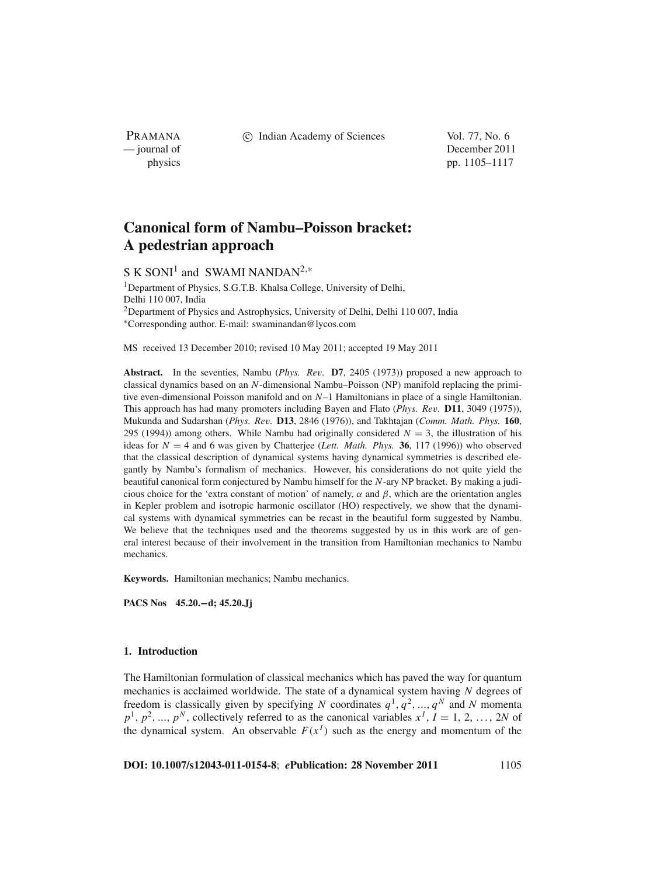PRAMANA

c Indian Academy of Sciences Vol. 77, No. 6

— journal of December 2011 physics pp. 1105–1117

# **Canonical form of Nambu–Poisson bracket: A pedestrian approach**

S K SONI<sup>1</sup> and SWAMI NANDAN<sup>2,\*</sup>

<sup>1</sup>Department of Physics, S.G.T.B. Khalsa College, University of Delhi, Delhi 110 007, India 2Department of Physics and Astrophysics, University of Delhi, Delhi 110 007, India <sup>∗</sup>Corresponding author. E-mail: swaminandan@lycos.com

MS received 13 December 2010; revised 10 May 2011; accepted 19 May 2011

**Abstract.** In the seventies, Nambu (*Phys. Re*v*.* **D7**, 2405 (1973)) proposed a new approach to classical dynamics based on an *N*-dimensional Nambu–Poisson (NP) manifold replacing the primitive even-dimensional Poisson manifold and on *N*–1 Hamiltonians in place of a single Hamiltonian. This approach has had many promoters including Bayen and Flato (*Phys. Re*v*.* **D11**, 3049 (1975)), Mukunda and Sudarshan (*Phys. Re*v*.* **D13**, 2846 (1976)), and Takhtajan (*Comm. Math. Phys.* **160**, 295 (1994)) among others. While Nambu had originally considered  $N = 3$ , the illustration of his ideas for *N* = 4 and 6 was given by Chatterjee (*Lett. Math. Phys.* **36**, 117 (1996)) who observed that the classical description of dynamical systems having dynamical symmetries is described elegantly by Nambu's formalism of mechanics. However, his considerations do not quite yield the beautiful canonical form conjectured by Nambu himself for the *N*-ary NP bracket. By making a judicious choice for the 'extra constant of motion' of namely,  $\alpha$  and  $\beta$ , which are the orientation angles in Kepler problem and isotropic harmonic oscillator (HO) respectively, we show that the dynamical systems with dynamical symmetries can be recast in the beautiful form suggested by Nambu. We believe that the techniques used and the theorems suggested by us in this work are of general interest because of their involvement in the transition from Hamiltonian mechanics to Nambu mechanics.

**Keywords.** Hamiltonian mechanics; Nambu mechanics.

**PACS Nos 45.20.−d; 45.20.Jj**

## **1. Introduction**

The Hamiltonian formulation of classical mechanics which has paved the way for quantum mechanics is acclaimed worldwide. The state of a dynamical system having *N* degrees of freedom is classically given by specifying *N* coordinates  $q^1, q^2, ..., q^N$  and *N* momenta  $p^1$ ,  $p^2$ , ...,  $p^N$ , collectively referred to as the canonical variables  $x^I$ ,  $I = 1, 2, \ldots, 2N$  of the dynamical system. An observable  $F(x^I)$  such as the energy and momentum of the

**DOI: 10.1007/s12043-011-0154-8**; *e***Publication: 28 November 2011** 1105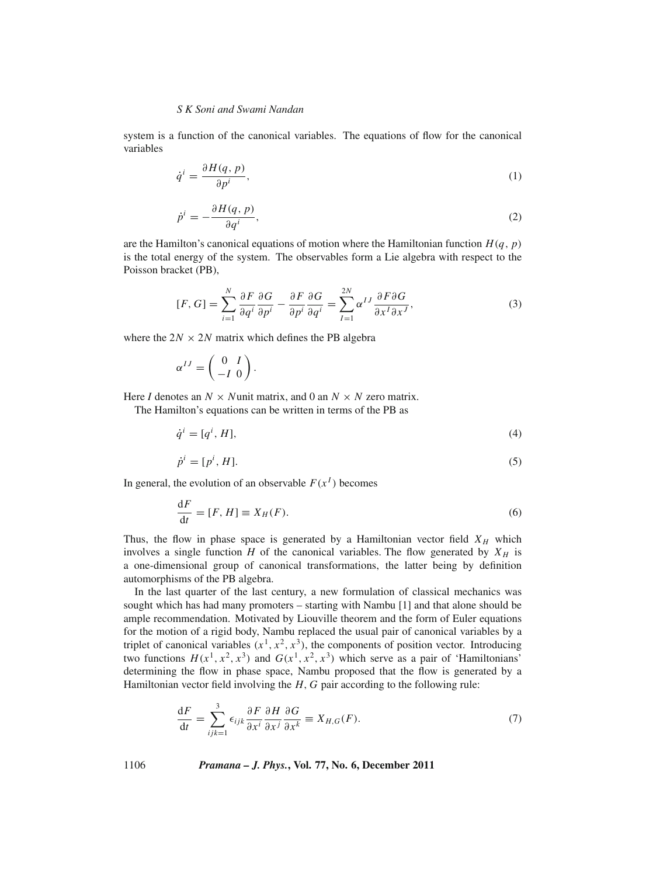system is a function of the canonical variables. The equations of flow for the canonical variables

$$
\dot{q}^i = \frac{\partial H(q, p)}{\partial p^i},\tag{1}
$$

$$
\dot{p}^i = -\frac{\partial H(q, p)}{\partial q^i},\tag{2}
$$

are the Hamilton's canonical equations of motion where the Hamiltonian function  $H(q, p)$ is the total energy of the system. The observables form a Lie algebra with respect to the Poisson bracket (PB),

$$
[F, G] = \sum_{i=1}^{N} \frac{\partial F}{\partial q^{i}} \frac{\partial G}{\partial p^{i}} - \frac{\partial F}{\partial p^{i}} \frac{\partial G}{\partial q^{i}} = \sum_{I=1}^{2N} \alpha^{IJ} \frac{\partial F \partial G}{\partial x^{I} \partial x^{J}},
$$
(3)

where the  $2N \times 2N$  matrix which defines the PB algebra

$$
\alpha^{IJ} = \begin{pmatrix} 0 & I \\ -I & 0 \end{pmatrix}.
$$

Here *I* denotes an  $N \times N$ unit matrix, and 0 an  $N \times N$  zero matrix.

The Hamilton's equations can be written in terms of the PB as

$$
\dot{q}^i = [q^i, H],\tag{4}
$$

$$
\dot{p}^i = [p^i, H]. \tag{5}
$$

In general, the evolution of an observable  $F(x^I)$  becomes

$$
\frac{\mathrm{d}F}{\mathrm{d}t} = [F, H] \equiv X_H(F). \tag{6}
$$

Thus, the flow in phase space is generated by a Hamiltonian vector field  $X_H$  which involves a single function  $H$  of the canonical variables. The flow generated by  $X_H$  is a one-dimensional group of canonical transformations, the latter being by definition automorphisms of the PB algebra.

In the last quarter of the last century, a new formulation of classical mechanics was sought which has had many promoters – starting with Nambu [1] and that alone should be ample recommendation. Motivated by Liouville theorem and the form of Euler equations for the motion of a rigid body, Nambu replaced the usual pair of canonical variables by a triplet of canonical variables  $(x^1, x^2, x^3)$ , the components of position vector. Introducing two functions  $H(x^1, x^2, x^3)$  and  $G(x^1, x^2, x^3)$  which serve as a pair of 'Hamiltonians' determining the flow in phase space, Nambu proposed that the flow is generated by a Hamiltonian vector field involving the *H*, *G* pair according to the following rule:

$$
\frac{\mathrm{d}F}{\mathrm{d}t} = \sum_{ijk=1}^{3} \epsilon_{ijk} \frac{\partial F}{\partial x^i} \frac{\partial H}{\partial x^j} \frac{\partial G}{\partial x^k} \equiv X_{H,G}(F). \tag{7}
$$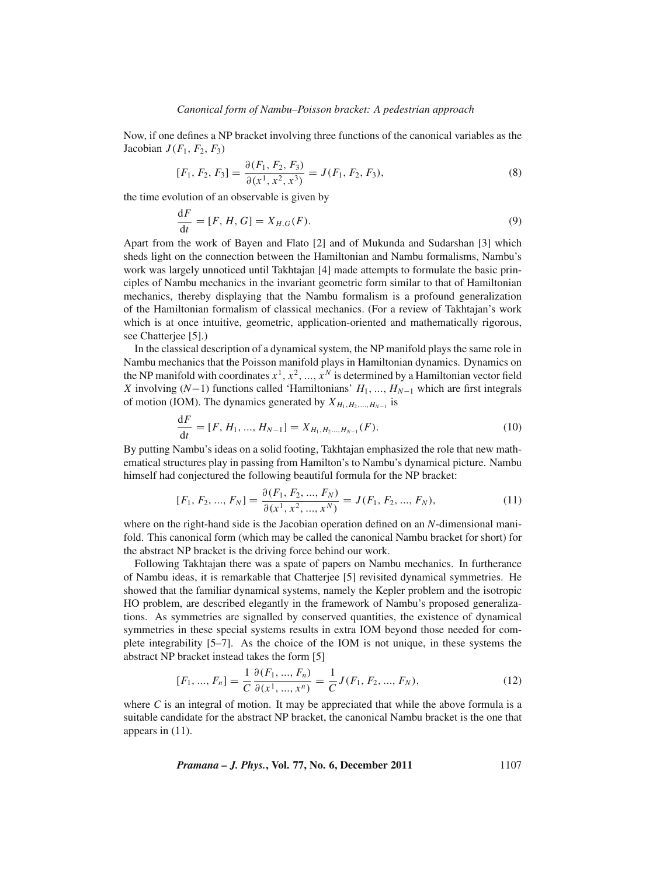Now, if one defines a NP bracket involving three functions of the canonical variables as the Jacobian  $J(F_1, F_2, F_3)$ 

$$
[F_1, F_2, F_3] = \frac{\partial (F_1, F_2, F_3)}{\partial (x^1, x^2, x^3)} = J(F_1, F_2, F_3),
$$
\n(8)

the time evolution of an observable is given by

$$
\frac{\mathrm{d}F}{\mathrm{d}t} = [F, H, G] = X_{H,G}(F). \tag{9}
$$

Apart from the work of Bayen and Flato [2] and of Mukunda and Sudarshan [3] which sheds light on the connection between the Hamiltonian and Nambu formalisms, Nambu's work was largely unnoticed until Takhtajan [4] made attempts to formulate the basic principles of Nambu mechanics in the invariant geometric form similar to that of Hamiltonian mechanics, thereby displaying that the Nambu formalism is a profound generalization of the Hamiltonian formalism of classical mechanics. (For a review of Takhtajan's work which is at once intuitive, geometric, application-oriented and mathematically rigorous, see Chatterjee [5].)

In the classical description of a dynamical system, the NP manifold plays the same role in Nambu mechanics that the Poisson manifold plays in Hamiltonian dynamics. Dynamics on the NP manifold with coordinates  $x^1, x^2, ..., x^N$  is determined by a Hamiltonian vector field *X* involving (*N*−1) functions called 'Hamiltonians' *H*<sub>1</sub>, ..., *H<sub>N−1</sub>* which are first integrals of motion (IOM). The dynamics generated by  $X_{H_1,H_2,...,H_{N-1}}$  is

$$
\frac{dF}{dt} = [F, H_1, ..., H_{N-1}] = X_{H_1, H_2, ..., H_{N-1}}(F).
$$
\n(10)

By putting Nambu's ideas on a solid footing, Takhtajan emphasized the role that new mathematical structures play in passing from Hamilton's to Nambu's dynamical picture. Nambu himself had conjectured the following beautiful formula for the NP bracket:

$$
[F_1, F_2, ..., F_N] = \frac{\partial (F_1, F_2, ..., F_N)}{\partial (x^1, x^2, ..., x^N)} = J(F_1, F_2, ..., F_N),
$$
\n(11)

where on the right-hand side is the Jacobian operation defined on an *N*-dimensional manifold. This canonical form (which may be called the canonical Nambu bracket for short) for the abstract NP bracket is the driving force behind our work.

Following Takhtajan there was a spate of papers on Nambu mechanics. In furtherance of Nambu ideas, it is remarkable that Chatterjee [5] revisited dynamical symmetries. He showed that the familiar dynamical systems, namely the Kepler problem and the isotropic HO problem, are described elegantly in the framework of Nambu's proposed generalizations. As symmetries are signalled by conserved quantities, the existence of dynamical symmetries in these special systems results in extra IOM beyond those needed for complete integrability [5–7]. As the choice of the IOM is not unique, in these systems the abstract NP bracket instead takes the form [5]

$$
[F_1, ..., F_n] = \frac{1}{C} \frac{\partial(F_1, ..., F_n)}{\partial(x^1, ..., x^n)} = \frac{1}{C} J(F_1, F_2, ..., F_N),
$$
\n(12)

where  $C$  is an integral of motion. It may be appreciated that while the above formula is a suitable candidate for the abstract NP bracket, the canonical Nambu bracket is the one that appears in (11).

*Pramana – J. Phys.*, Vol. 77, No. 6, December 2011 
$$
1107
$$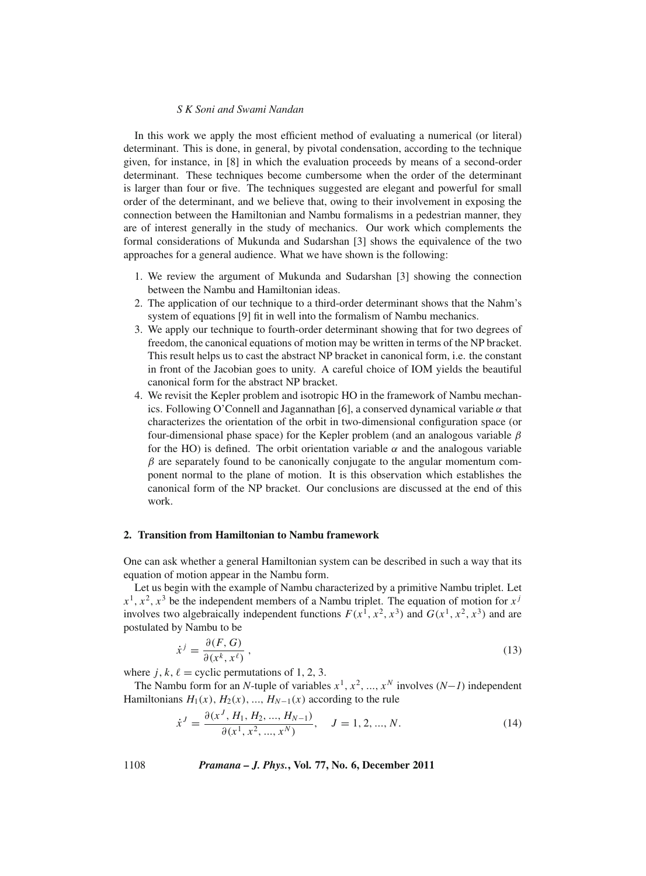In this work we apply the most efficient method of evaluating a numerical (or literal) determinant. This is done, in general, by pivotal condensation, according to the technique given, for instance, in [8] in which the evaluation proceeds by means of a second-order determinant. These techniques become cumbersome when the order of the determinant is larger than four or five. The techniques suggested are elegant and powerful for small order of the determinant, and we believe that, owing to their involvement in exposing the connection between the Hamiltonian and Nambu formalisms in a pedestrian manner, they are of interest generally in the study of mechanics. Our work which complements the formal considerations of Mukunda and Sudarshan [3] shows the equivalence of the two approaches for a general audience. What we have shown is the following:

- 1. We review the argument of Mukunda and Sudarshan [3] showing the connection between the Nambu and Hamiltonian ideas.
- 2. The application of our technique to a third-order determinant shows that the Nahm's system of equations [9] fit in well into the formalism of Nambu mechanics.
- 3. We apply our technique to fourth-order determinant showing that for two degrees of freedom, the canonical equations of motion may be written in terms of the NP bracket. This result helps us to cast the abstract NP bracket in canonical form, i.e. the constant in front of the Jacobian goes to unity. A careful choice of IOM yields the beautiful canonical form for the abstract NP bracket.
- 4. We revisit the Kepler problem and isotropic HO in the framework of Nambu mechanics. Following O'Connell and Jagannathan [6], a conserved dynamical variable  $\alpha$  that characterizes the orientation of the orbit in two-dimensional configuration space (or four-dimensional phase space) for the Kepler problem (and an analogous variable  $\beta$ for the HO) is defined. The orbit orientation variable  $\alpha$  and the analogous variable  $\beta$  are separately found to be canonically conjugate to the angular momentum component normal to the plane of motion. It is this observation which establishes the canonical form of the NP bracket. Our conclusions are discussed at the end of this work.

# **2. Transition from Hamiltonian to Nambu framework**

One can ask whether a general Hamiltonian system can be described in such a way that its equation of motion appear in the Nambu form.

Let us begin with the example of Nambu characterized by a primitive Nambu triplet. Let  $x^1$ ,  $x^2$ ,  $x^3$  be the independent members of a Nambu triplet. The equation of motion for  $x^j$ involves two algebraically independent functions  $F(x^1, x^2, x^3)$  and  $G(x^1, x^2, x^3)$  and are postulated by Nambu to be

$$
\dot{x}^j = \frac{\partial(F, G)}{\partial(x^k, x^\ell)}\,,\tag{13}
$$

where  $j, k, \ell$  = cyclic permutations of 1, 2, 3.

The Nambu form for an *N*-tuple of variables  $x^1, x^2, ..., x^N$  involves  $(N-1)$  independent Hamiltonians  $H_1(x)$ ,  $H_2(x)$ , ...,  $H_{N-1}(x)$  according to the rule

$$
\dot{x}^{J} = \frac{\partial(x^{J}, H_1, H_2, ..., H_{N-1})}{\partial(x^{1}, x^{2}, ..., x^{N})}, \quad J = 1, 2, ..., N.
$$
\n(14)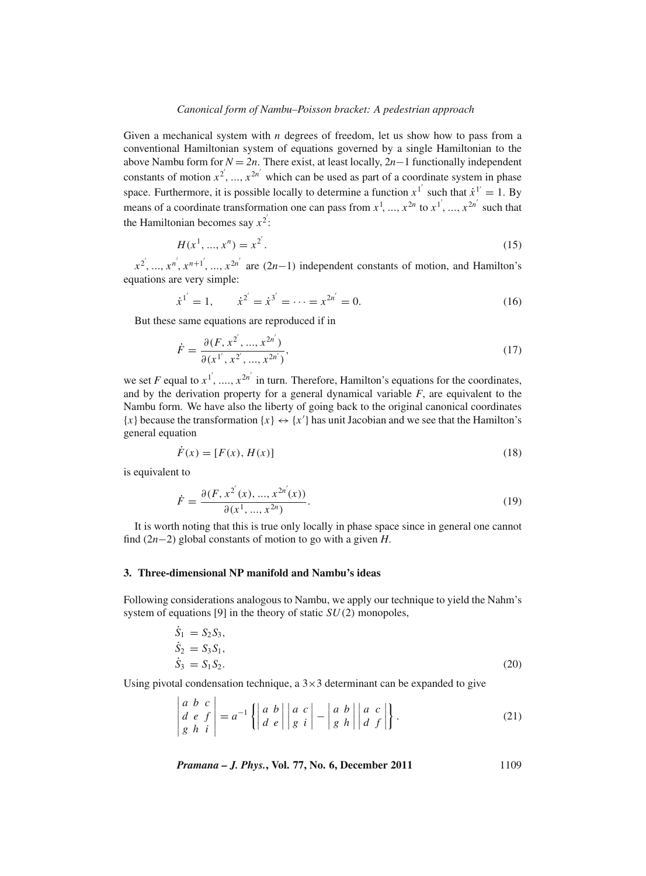#### *Canonical form of Nambu–Poisson bracket: A pedestrian approach*

Given a mechanical system with *n* degrees of freedom, let us show how to pass from a conventional Hamiltonian system of equations governed by a single Hamiltonian to the above Nambu form for  $N = 2n$ . There exist, at least locally,  $2n-1$  functionally independent constants of motion  $x^2$ , ...,  $x^{2n'}$  which can be used as part of a coordinate system in phase space. Furthermore, it is possible locally to determine a function  $x^{1'}$  such that  $\dot{x}^{1'} = 1$ . By means of a coordinate transformation one can pass from  $x^1$ , ...,  $x^{2n}$  to  $x^{1'}$ , ...,  $x^{2n'}$  such that the Hamiltonian becomes say  $x^2$ :

$$
H(x^1, ..., x^n) = x^{2'}.
$$
\n(15)

 $x^{2'}$ , ...,  $x^{n'}$ ,  $x^{n+1'}$ , ...,  $x^{2n'}$  are  $(2n-1)$  independent constants of motion, and Hamilton's equations are very simple:

$$
\dot{x}^{1'} = 1, \qquad \dot{x}^{2'} = \dot{x}^{3'} = \dots = x^{2n'} = 0. \tag{16}
$$

But these same equations are reproduced if in

$$
\dot{F} = \frac{\partial(F, x^{2'}, ..., x^{2n'})}{\partial(x^{1'}, x^{2'}, ..., x^{2n'})},
$$
\n(17)

we set *F* equal to  $x_1^i$ , ...,  $x_2^{i}$  in turn. Therefore, Hamilton's equations for the coordinates, and by the derivation property for a general dynamical variable *F*, are equivalent to the Nambu form. We have also the liberty of going back to the original canonical coordinates  ${x}$  because the transformation  ${x} \leftrightarrow {x'}$  has unit Jacobian and we see that the Hamilton's general equation

$$
\dot{F}(x) = [F(x), H(x)] \tag{18}
$$

is equivalent to

$$
\dot{F} = \frac{\partial(F, x^{2'}(x), ..., x^{2n'}(x))}{\partial(x^1, ..., x^{2n})}.
$$
\n(19)

It is worth noting that this is true only locally in phase space since in general one cannot find (2*n*−2) global constants of motion to go with a given *H*.

# **3. Three-dimensional NP manifold and Nambu's ideas**

**Contractor** 

Following considerations analogous to Nambu, we apply our technique to yield the Nahm's system of equations [9] in the theory of static *SU*(2) monopoles,

$$
\dot{S}_1 = S_2 S_3,\n\dot{S}_2 = S_3 S_1,\n\dot{S}_3 = S_1 S_2.
$$
\n(20)

Using pivotal condensation technique, a  $3\times3$  determinant can be expanded to give

$$
\begin{vmatrix} a & b & c \\ d & e & f \\ g & h & i \end{vmatrix} = a^{-1} \left\{ \begin{vmatrix} a & b \\ d & e \end{vmatrix} \middle| \begin{vmatrix} a & c \\ g & i \end{vmatrix} - \begin{vmatrix} a & b \\ g & h \end{vmatrix} \middle| \begin{vmatrix} a & c \\ d & f \end{vmatrix} \right\}.
$$
 (21)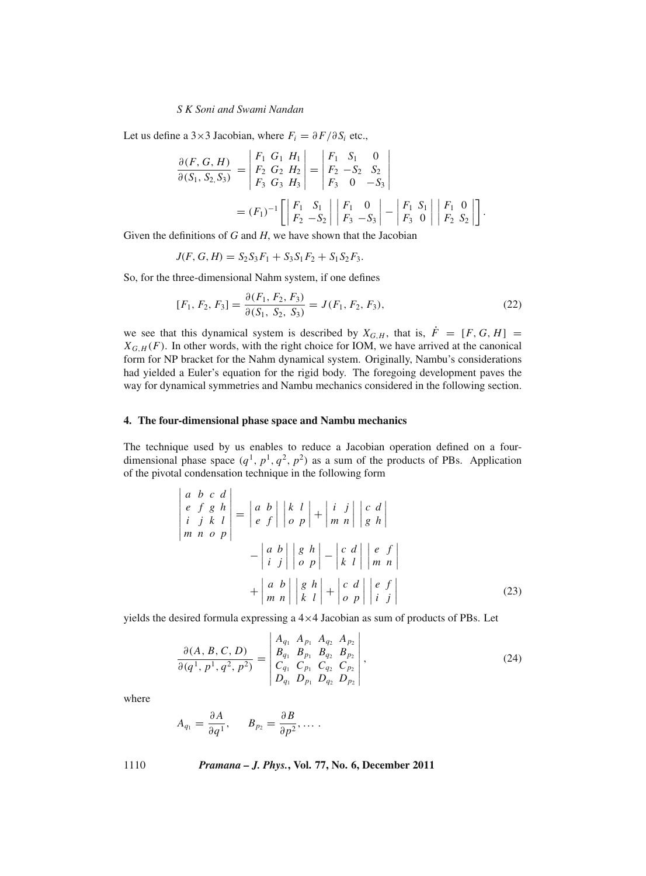Let us define a 3×3 Jacobian, where  $F_i = \partial F / \partial S_i$  etc.,

$$
\frac{\partial(F, G, H)}{\partial(S_1, S_2, S_3)} = \begin{vmatrix} F_1 & G_1 & H_1 \\ F_2 & G_2 & H_2 \\ F_3 & G_3 & H_3 \end{vmatrix} = \begin{vmatrix} F_1 & S_1 & 0 \\ F_2 & -S_2 & S_2 \\ F_3 & 0 & -S_3 \end{vmatrix}
$$

$$
= (F_1)^{-1} \begin{bmatrix} F_1 & S_1 \\ F_2 & -S_2 \end{bmatrix} \begin{vmatrix} F_1 & 0 \\ F_3 & -S_3 \end{vmatrix} - \begin{vmatrix} F_1 & S_1 \\ F_3 & 0 \end{vmatrix} \begin{vmatrix} F_1 & 0 \\ F_2 & S_2 \end{vmatrix}.
$$

Given the definitions of *G* and *H*, we have shown that the Jacobian

$$
J(F, G, H) = S_2 S_3 F_1 + S_3 S_1 F_2 + S_1 S_2 F_3.
$$

So, for the three-dimensional Nahm system, if one defines

$$
[F_1, F_2, F_3] = \frac{\partial (F_1, F_2, F_3)}{\partial (S_1, S_2, S_3)} = J(F_1, F_2, F_3),\tag{22}
$$

we see that this dynamical system is described by  $X_{G,H}$ , that is,  $\dot{F} = [F, G, H] =$  $X_{G,H}(F)$ . In other words, with the right choice for IOM, we have arrived at the canonical form for NP bracket for the Nahm dynamical system. Originally, Nambu's considerations had yielded a Euler's equation for the rigid body. The foregoing development paves the way for dynamical symmetries and Nambu mechanics considered in the following section.

#### **4. The four-dimensional phase space and Nambu mechanics**

The technique used by us enables to reduce a Jacobian operation defined on a fourdimensional phase space  $(q^1, p^1, q^2, p^2)$  as a sum of the products of PBs. Application of the pivotal condensation technique in the following form

$$
\begin{vmatrix}\na & b & c & d \\
e & f & g & h \\
i & j & k & l \\
m & n & o & p\n\end{vmatrix} = \begin{vmatrix}\na & b & b \\
e & f & b & c \\
e & f & g & h\n\end{vmatrix} + \begin{vmatrix}\ni & j & c \\
m & n & d \\
o & p & h & c\n\end{vmatrix}
$$

$$
- \begin{vmatrix}\na & b & b \\
i & j & o \\
n & n & n\n\end{vmatrix} + \begin{vmatrix}\ng & h & b \\
m & n & a\n\end{vmatrix} + \begin{vmatrix}\nc & d & b \\
m & n & b \\
n & n & n\n\end{vmatrix} + \begin{vmatrix}\nc & d & b \\
c & d & b \\
o & p & i\n\end{vmatrix} + \begin{vmatrix}\ne & f \\
j & h\n\end{vmatrix}
$$
(23)

yields the desired formula expressing a  $4\times4$  Jacobian as sum of products of PBs. Let

$$
\frac{\partial (A, B, C, D)}{\partial (q^1, p^1, q^2, p^2)} = \begin{vmatrix} A_{q_1} & A_{p_1} & A_{q_2} & A_{p_2} \\ B_{q_1} & B_{p_1} & B_{q_2} & B_{p_2} \\ C_{q_1} & C_{p_1} & C_{q_2} & C_{p_2} \\ D_{q_1} & D_{p_1} & D_{q_2} & D_{p_2} \end{vmatrix},
$$
\n(24)

where

$$
A_{q_1}=\frac{\partial A}{\partial q^1},\qquad B_{p_2}=\frac{\partial B}{\partial p^2},\ldots.
$$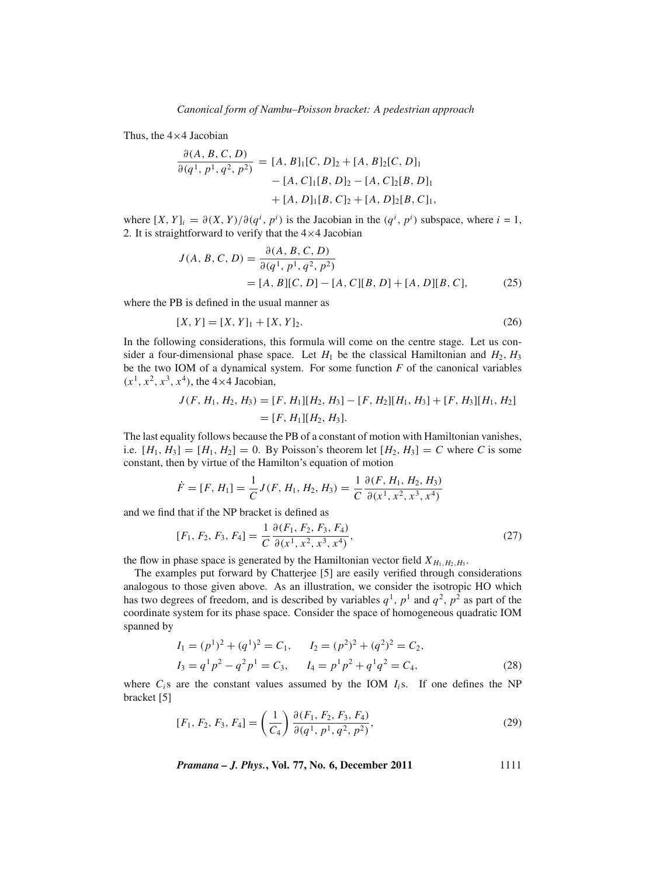Thus, the  $4\times4$  Jacobian

$$
\frac{\partial (A, B, C, D)}{\partial (q^1, p^1, q^2, p^2)} = [A, B]_1 [C, D]_2 + [A, B]_2 [C, D]_1
$$

$$
- [A, C]_1 [B, D]_2 - [A, C]_2 [B, D]_1
$$

$$
+ [A, D]_1 [B, C]_2 + [A, D]_2 [B, C]_1,
$$

where  $[X, Y]_i = \partial(X, Y)/\partial(q^i, p^i)$  is the Jacobian in the  $(q^i, p^i)$  subspace, where  $i = 1$ , 2. It is straightforward to verify that the  $4\times4$  Jacobian

$$
J(A, B, C, D) = \frac{\partial(A, B, C, D)}{\partial(q^1, p^1, q^2, p^2)}
$$
  
= [A, B][C, D] – [A, C][B, D] + [A, D][B, C], (25)

where the PB is defined in the usual manner as

$$
[X, Y] = [X, Y]_1 + [X, Y]_2. \tag{26}
$$

In the following considerations, this formula will come on the centre stage. Let us consider a four-dimensional phase space. Let  $H_1$  be the classical Hamiltonian and  $H_2$ ,  $H_3$ be the two IOM of a dynamical system. For some function *F* of the canonical variables  $(x^1, x^2, x^3, x^4)$ , the 4×4 Jacobian,

$$
J(F, H_1, H_2, H_3) = [F, H_1][H_2, H_3] - [F, H_2][H_1, H_3] + [F, H_3][H_1, H_2]
$$
  
=  $[F, H_1][H_2, H_3].$ 

The last equality follows because the PB of a constant of motion with Hamiltonian vanishes, i.e.  $[H_1, H_3] = [H_1, H_2] = 0$ . By Poisson's theorem let  $[H_2, H_3] = C$  where *C* is some constant, then by virtue of the Hamilton's equation of motion

$$
\dot{F} = [F, H_1] = \frac{1}{C} J(F, H_1, H_2, H_3) = \frac{1}{C} \frac{\partial (F, H_1, H_2, H_3)}{\partial (x^1, x^2, x^3, x^4)}
$$

and we find that if the NP bracket is defined as

$$
[F_1, F_2, F_3, F_4] = \frac{1}{C} \frac{\partial (F_1, F_2, F_3, F_4)}{\partial (x^1, x^2, x^3, x^4)},
$$
\n(27)

the flow in phase space is generated by the Hamiltonian vector field  $X_{H_1,H_2,H_3}$ .

The examples put forward by Chatterjee [5] are easily verified through considerations analogous to those given above. As an illustration, we consider the isotropic HO which has two degrees of freedom, and is described by variables  $q<sup>1</sup>$ ,  $p<sup>1</sup>$  and  $q<sup>2</sup>$ ,  $p<sup>2</sup>$  as part of the coordinate system for its phase space. Consider the space of homogeneous quadratic IOM spanned by

$$
I_1 = (p^1)^2 + (q^1)^2 = C_1, \qquad I_2 = (p^2)^2 + (q^2)^2 = C_2, I_3 = q^1 p^2 - q^2 p^1 = C_3, \qquad I_4 = p^1 p^2 + q^1 q^2 = C_4,
$$
 (28)

where  $C_i$ s are the constant values assumed by the IOM  $I_i$ s. If one defines the NP bracket [5]

$$
[F_1, F_2, F_3, F_4] = \left(\frac{1}{C_4}\right) \frac{\partial (F_1, F_2, F_3, F_4)}{\partial (q^1, p^1, q^2, p^2)},\tag{29}
$$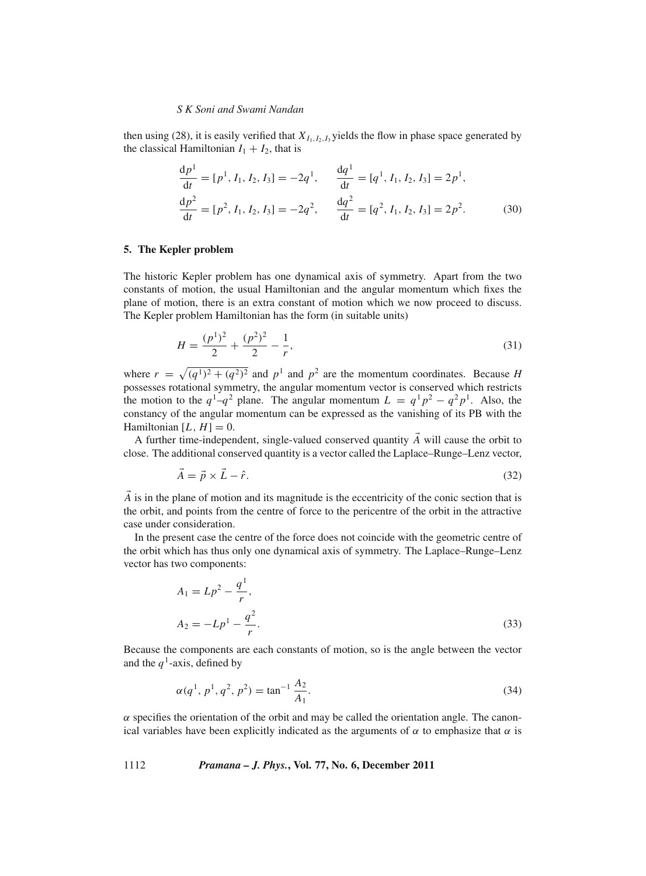then using (28), it is easily verified that  $X_{I_1,I_2,I_3}$  yields the flow in phase space generated by the classical Hamiltonian  $I_1 + I_2$ , that is

$$
\frac{dp^1}{dt} = [p^1, I_1, I_2, I_3] = -2q^1, \qquad \frac{dq^1}{dt} = [q^1, I_1, I_2, I_3] = 2p^1,
$$
  
\n
$$
\frac{dp^2}{dt} = [p^2, I_1, I_2, I_3] = -2q^2, \qquad \frac{dq^2}{dt} = [q^2, I_1, I_2, I_3] = 2p^2.
$$
 (30)

## **5. The Kepler problem**

The historic Kepler problem has one dynamical axis of symmetry. Apart from the two constants of motion, the usual Hamiltonian and the angular momentum which fixes the plane of motion, there is an extra constant of motion which we now proceed to discuss. The Kepler problem Hamiltonian has the form (in suitable units)

$$
H = \frac{(p^1)^2}{2} + \frac{(p^2)^2}{2} - \frac{1}{r},\tag{31}
$$

where  $r = \sqrt{(q^1)^2 + (q^2)^2}$  and  $p^1$  and  $p^2$  are the momentum coordinates. Because *H* possesses rotational symmetry, the angular momentum vector is conserved which restricts the motion to the  $q^1-q^2$  plane. The angular momentum  $L = q^1p^2 - q^2p^1$ . Also, the constancy of the angular momentum can be expressed as the vanishing of its PB with the Hamiltonian  $[L, H] = 0$ .

A further time-independent, single-valued conserved quantity  $\vec{A}$  will cause the orbit to close. The additional conserved quantity is a vector called the Laplace–Runge–Lenz vector,

$$
\vec{A} = \vec{p} \times \vec{L} - \hat{r}.\tag{32}
$$

 $\vec{A}$  is in the plane of motion and its magnitude is the eccentricity of the conic section that is the orbit, and points from the centre of force to the pericentre of the orbit in the attractive case under consideration.

In the present case the centre of the force does not coincide with the geometric centre of the orbit which has thus only one dynamical axis of symmetry. The Laplace–Runge–Lenz vector has two components:

$$
A_1 = Lp^2 - \frac{q^1}{r},
$$
  
\n
$$
A_2 = -Lp^1 - \frac{q^2}{r}.
$$
\n(33)

Because the components are each constants of motion, so is the angle between the vector and the  $q^1$ -axis, defined by

$$
\alpha(q^1, p^1, q^2, p^2) = \tan^{-1} \frac{A_2}{A_1}.
$$
 (34)

 $\alpha$  specifies the orientation of the orbit and may be called the orientation angle. The canonical variables have been explicitly indicated as the arguments of  $\alpha$  to emphasize that  $\alpha$  is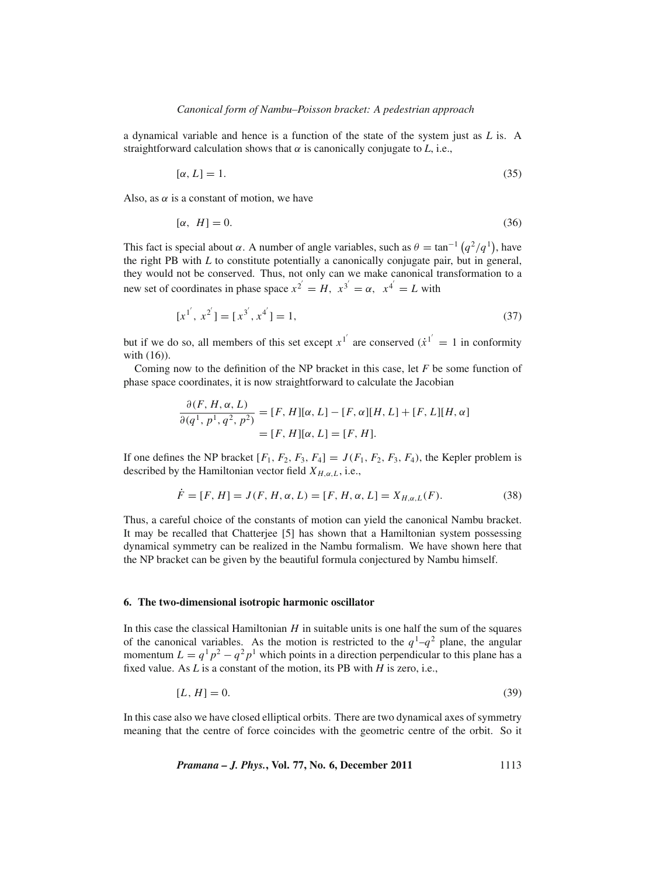a dynamical variable and hence is a function of the state of the system just as *L* is. A straightforward calculation shows that  $\alpha$  is canonically conjugate to *L*, i.e.,

$$
[\alpha, L] = 1. \tag{35}
$$

Also, as  $\alpha$  is a constant of motion, we have

$$
[\alpha, H] = 0. \tag{36}
$$

This fact is special about  $\alpha$ . A number of angle variables, such as  $\theta = \tan^{-1} (q^2/q^1)$ , have the right PB with *L* to constitute potentially a canonically conjugate pair, but in general, they would not be conserved. Thus, not only can we make canonical transformation to a new set of coordinates in phase space  $x^{2} = H$ ,  $x^{3} = \alpha$ ,  $x^{4} = L$  with

$$
[x^{1'}, x^{2'}] = [x^{3'}, x^{4'}] = 1,
$$
\n(37)

but if we do so, all members of this set except  $x^{1'}$  are conserved  $(\dot{x}^{1'} = 1)$  in conformity with (16)).

Coming now to the definition of the NP bracket in this case, let *F* be some function of phase space coordinates, it is now straightforward to calculate the Jacobian

$$
\frac{\partial(F, H, \alpha, L)}{\partial(q^1, p^1, q^2, p^2)} = [F, H][\alpha, L] - [F, \alpha][H, L] + [F, L][H, \alpha]
$$

$$
= [F, H][\alpha, L] = [F, H].
$$

If one defines the NP bracket  $[F_1, F_2, F_3, F_4] = J(F_1, F_2, F_3, F_4)$ , the Kepler problem is described by the Hamiltonian vector field  $X_{H,\alpha,L}$ , i.e.,

$$
\dot{F} = [F, H] = J(F, H, \alpha, L) = [F, H, \alpha, L] = X_{H, \alpha, L}(F). \tag{38}
$$

Thus, a careful choice of the constants of motion can yield the canonical Nambu bracket. It may be recalled that Chatterjee [5] has shown that a Hamiltonian system possessing dynamical symmetry can be realized in the Nambu formalism. We have shown here that the NP bracket can be given by the beautiful formula conjectured by Nambu himself.

## **6. The two-dimensional isotropic harmonic oscillator**

In this case the classical Hamiltonian *H* in suitable units is one half the sum of the squares of the canonical variables. As the motion is restricted to the  $q<sup>1</sup>-q<sup>2</sup>$  plane, the angular momentum  $L = q^1 p^2 - q^2 p^1$  which points in a direction perpendicular to this plane has a fixed value. As *L* is a constant of the motion, its PB with *H* is zero, i.e.,

$$
[L, H] = 0.\t\t(39)
$$

In this case also we have closed elliptical orbits. There are two dynamical axes of symmetry meaning that the centre of force coincides with the geometric centre of the orbit. So it

*Pramana – J. Phys.***, Vol. 77, No. 6, December 2011** 1113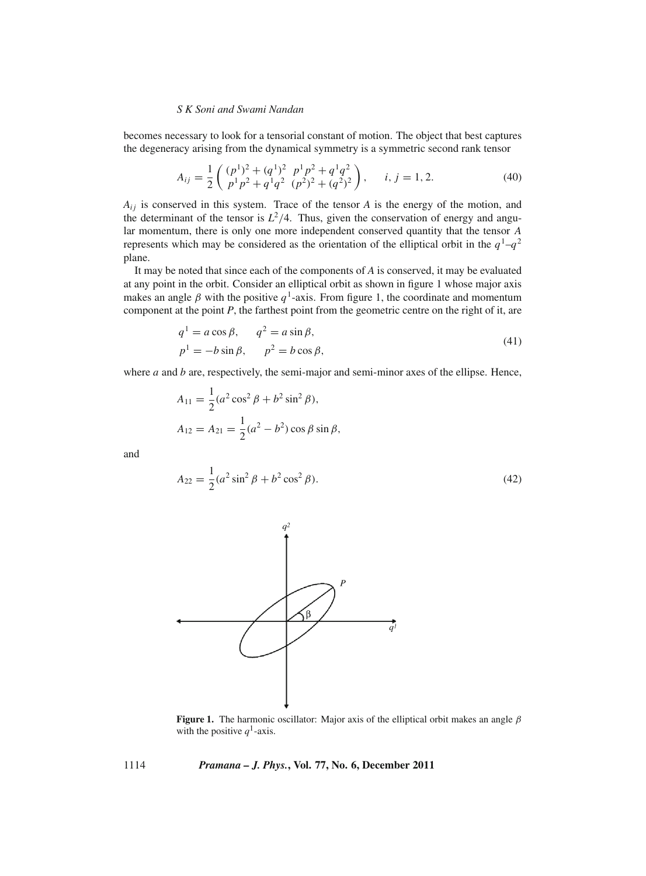becomes necessary to look for a tensorial constant of motion. The object that best captures the degeneracy arising from the dynamical symmetry is a symmetric second rank tensor

$$
A_{ij} = \frac{1}{2} \begin{pmatrix} (p^1)^2 + (q^1)^2 & p^1 p^2 + q^1 q^2 \\ p^1 p^2 + q^1 q^2 & (p^2)^2 + (q^2)^2 \end{pmatrix}, \quad i, j = 1, 2.
$$
 (40)

 $A_{ij}$  is conserved in this system. Trace of the tensor  $A$  is the energy of the motion, and the determinant of the tensor is  $L^2/4$ . Thus, given the conservation of energy and angular momentum, there is only one more independent conserved quantity that the tensor *A* represents which may be considered as the orientation of the elliptical orbit in the  $q<sup>1</sup>-q<sup>2</sup>$ plane.

It may be noted that since each of the components of *A* is conserved, it may be evaluated at any point in the orbit. Consider an elliptical orbit as shown in figure 1 whose major axis makes an angle  $\beta$  with the positive  $q^1$ -axis. From figure 1, the coordinate and momentum component at the point *P*, the farthest point from the geometric centre on the right of it, are

$$
q1 = a cos \beta, \t q2 = a sin \beta,
$$
  
\n
$$
p1 = -b sin \beta, \t p2 = b cos \beta,
$$
\n(41)

where *a* and *b* are, respectively, the semi-major and semi-minor axes of the ellipse. Hence,

$$
A_{11} = \frac{1}{2} (a^2 \cos^2 \beta + b^2 \sin^2 \beta),
$$
  
\n
$$
A_{12} = A_{21} = \frac{1}{2} (a^2 - b^2) \cos \beta \sin \beta,
$$

and

$$
A_{22} = \frac{1}{2}(a^2 \sin^2 \beta + b^2 \cos^2 \beta).
$$
 (42)



**Figure 1.** The harmonic oscillator: Major axis of the elliptical orbit makes an angle  $\beta$ with the positive  $q^1$ -axis.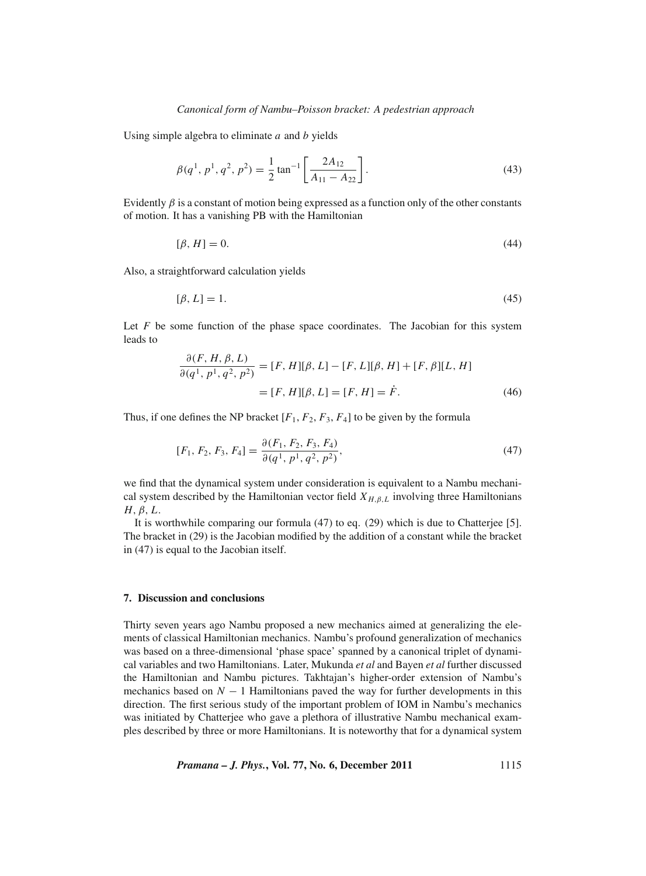Using simple algebra to eliminate *a* and *b* yields

$$
\beta(q^1, p^1, q^2, p^2) = \frac{1}{2} \tan^{-1} \left[ \frac{2A_{12}}{A_{11} - A_{22}} \right].
$$
\n(43)

Evidently  $\beta$  is a constant of motion being expressed as a function only of the other constants of motion. It has a vanishing PB with the Hamiltonian

$$
[\beta, H] = 0. \tag{44}
$$

Also, a straightforward calculation yields

$$
[\beta, L] = 1. \tag{45}
$$

Let *F* be some function of the phase space coordinates. The Jacobian for this system leads to

$$
\frac{\partial(F, H, \beta, L)}{\partial(q^1, p^1, q^2, p^2)} = [F, H][\beta, L] - [F, L][\beta, H] + [F, \beta][L, H]
$$

$$
= [F, H][\beta, L] = [F, H] = \dot{F}.
$$
(46)

Thus, if one defines the NP bracket  $[F_1, F_2, F_3, F_4]$  to be given by the formula

$$
[F_1, F_2, F_3, F_4] = \frac{\partial (F_1, F_2, F_3, F_4)}{\partial (q^1, p^1, q^2, p^2)},
$$
\n
$$
(47)
$$

we find that the dynamical system under consideration is equivalent to a Nambu mechanical system described by the Hamiltonian vector field  $X_{H,\beta,L}$  involving three Hamiltonians *H*, *β*, *L*.

It is worthwhile comparing our formula (47) to eq. (29) which is due to Chatterjee [5]. The bracket in (29) is the Jacobian modified by the addition of a constant while the bracket in (47) is equal to the Jacobian itself.

#### **7. Discussion and conclusions**

Thirty seven years ago Nambu proposed a new mechanics aimed at generalizing the elements of classical Hamiltonian mechanics. Nambu's profound generalization of mechanics was based on a three-dimensional 'phase space' spanned by a canonical triplet of dynamical variables and two Hamiltonians. Later, Mukunda *et al* and Bayen *et al* further discussed the Hamiltonian and Nambu pictures. Takhtajan's higher-order extension of Nambu's mechanics based on  $N-1$  Hamiltonians paved the way for further developments in this direction. The first serious study of the important problem of IOM in Nambu's mechanics was initiated by Chatterjee who gave a plethora of illustrative Nambu mechanical examples described by three or more Hamiltonians. It is noteworthy that for a dynamical system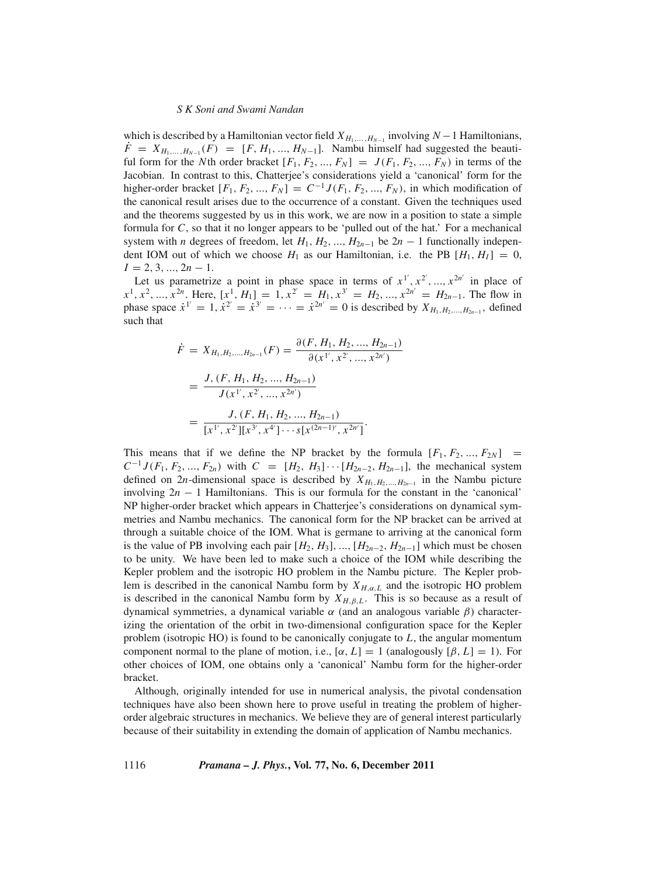which is described by a Hamiltonian vector field  $X_{H_1,\ldots,H_{N-1}}$  involving  $N-1$  Hamiltonians,  $\hat{F} = X_{H_1,\dots,H_{N-1}}(F) = [F, H_1, ..., H_{N-1}]$ . Nambu himself had suggested the beautiful form for the *N*th order bracket  $[F_1, F_2, ..., F_N] = J(F_1, F_2, ..., F_N)$  in terms of the Jacobian. In contrast to this, Chatterjee's considerations yield a 'canonical' form for the higher-order bracket  $[F_1, F_2, ..., F_N] = C^{-1} J(F_1, F_2, ..., F_N)$ , in which modification of the canonical result arises due to the occurrence of a constant. Given the techniques used and the theorems suggested by us in this work, we are now in a position to state a simple formula for *C*, so that it no longer appears to be 'pulled out of the hat.' For a mechanical system with *n* degrees of freedom, let  $H_1, H_2, ..., H_{2n-1}$  be  $2n - 1$  functionally independent IOM out of which we choose  $H_1$  as our Hamiltonian, i.e. the PB  $[H_1, H_1] = 0$ ,  $I = 2, 3, ..., 2n - 1.$ 

Let us parametrize a point in phase space in terms of  $x^{1'}$ ,  $x^{2'}$ , ...,  $x^{2n'}$  in place of  $x^1, x^2, ..., x^{2n}$ . Here,  $[x^1, H_1] = 1, x^{2'} = H_1, x^{3'} = H_2, ..., x^{2n'} = H_{2n-1}$ . The flow in phase space  $\dot{x}^{1'} = 1$ ,  $\dot{x}^{2'} = \dot{x}^{3'} = \cdots = \dot{x}^{2n'} = 0$  is described by  $X_{H_1, H_2, ..., H_{2n-1}}$ , defined such that

$$
\dot{F} = X_{H_1, H_2, \dots, H_{2n-1}}(F) = \frac{\partial(F, H_1, H_2, \dots, H_{2n-1})}{\partial(x^{1'}, x^{2'}, \dots, x^{2n'})}
$$

$$
= \frac{J, (F, H_1, H_2, \dots, H_{2n-1})}{J(x^{1'}, x^{2'}, \dots, x^{2n'})}
$$

$$
= \frac{J, (F, H_1, H_2, \dots, H_{2n-1})}{[x^{1'}, x^{2'}][x^{3'}, x^{4'}] \cdots s[x^{(2n-1)'}, x^{2n'}]}.
$$

This means that if we define the NP bracket by the formula  $[F_1, F_2, ..., F_{2N}]$  =  $C^{-1}J(F_1, F_2, ..., F_{2n})$  with  $C = [H_2, H_3] \cdots [H_{2n-2}, H_{2n-1}]$ , the mechanical system defined on 2*n*-dimensional space is described by  $X_{H_1,H_2,...,H_{2n-1}}$  in the Nambu picture involving  $2n - 1$  Hamiltonians. This is our formula for the constant in the 'canonical' NP higher-order bracket which appears in Chatterjee's considerations on dynamical symmetries and Nambu mechanics. The canonical form for the NP bracket can be arrived at through a suitable choice of the IOM. What is germane to arriving at the canonical form is the value of PB involving each pair  $[H_2, H_3], ..., [H_{2n-2}, H_{2n-1}]$  which must be chosen to be unity. We have been led to make such a choice of the IOM while describing the Kepler problem and the isotropic HO problem in the Nambu picture. The Kepler problem is described in the canonical Nambu form by  $X_{H,\alpha,L}$  and the isotropic HO problem is described in the canonical Nambu form by  $X_{H,\beta,L}$ . This is so because as a result of dynamical symmetries, a dynamical variable α (and an analogous variable β) characterizing the orientation of the orbit in two-dimensional configuration space for the Kepler problem (isotropic HO) is found to be canonically conjugate to *L*, the angular momentum component normal to the plane of motion, i.e.,  $[\alpha, L] = 1$  (analogously  $[\beta, L] = 1$ ). For other choices of IOM, one obtains only a 'canonical' Nambu form for the higher-order bracket.

Although, originally intended for use in numerical analysis, the pivotal condensation techniques have also been shown here to prove useful in treating the problem of higherorder algebraic structures in mechanics. We believe they are of general interest particularly because of their suitability in extending the domain of application of Nambu mechanics.